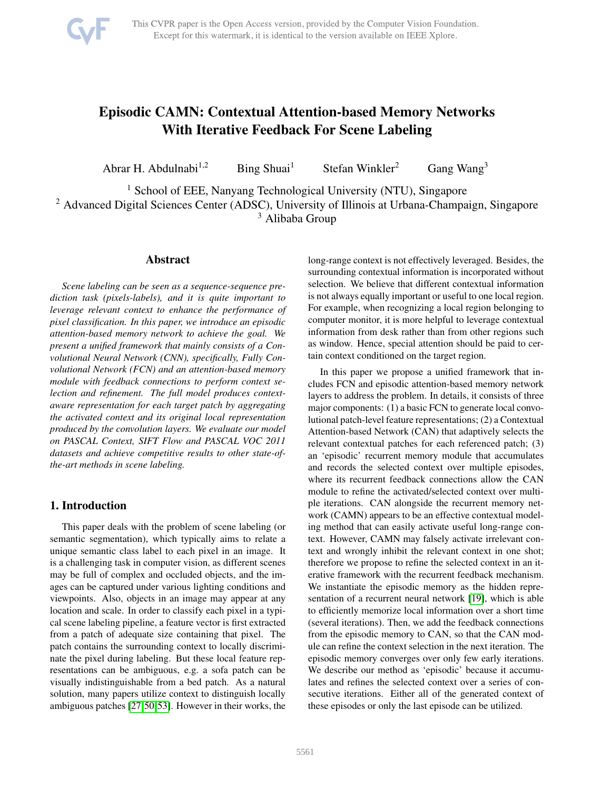

# Episodic CAMN: Contextual Attention-based Memory Networks With Iterative Feedback For Scene Labeling

Abrar H. Abdulnabi<sup>1,2</sup> Bing Shuai<sup>1</sup> Stefan Winkler<sup>2</sup> Gang Wang<sup>3</sup>

<sup>1</sup> School of EEE, Nanyang Technological University (NTU), Singapore

<sup>2</sup> Advanced Digital Sciences Center (ADSC), University of Illinois at Urbana-Champaign, Singapore <sup>3</sup> Alibaba Group

### Abstract

*Scene labeling can be seen as a sequence-sequence prediction task (pixels-labels), and it is quite important to leverage relevant context to enhance the performance of pixel classification. In this paper, we introduce an episodic attention-based memory network to achieve the goal. We present a unified framework that mainly consists of a Convolutional Neural Network (CNN), specifically, Fully Convolutional Network (FCN) and an attention-based memory module with feedback connections to perform context selection and refinement. The full model produces contextaware representation for each target patch by aggregating the activated context and its original local representation produced by the convolution layers. We evaluate our model on PASCAL Context, SIFT Flow and PASCAL VOC 2011 datasets and achieve competitive results to other state-ofthe-art methods in scene labeling.*

## 1. Introduction

This paper deals with the problem of scene labeling (or semantic segmentation), which typically aims to relate a unique semantic class label to each pixel in an image. It is a challenging task in computer vision, as different scenes may be full of complex and occluded objects, and the images can be captured under various lighting conditions and viewpoints. Also, objects in an image may appear at any location and scale. In order to classify each pixel in a typical scene labeling pipeline, a feature vector is first extracted from a patch of adequate size containing that pixel. The patch contains the surrounding context to locally discriminate the pixel during labeling. But these local feature representations can be ambiguous, e.g. a sofa patch can be visually indistinguishable from a bed patch. As a natural solution, many papers utilize context to distinguish locally ambiguous patches [\[27,](#page-8-0)[50,](#page-9-0)[53\]](#page-9-1). However in their works, the

long-range context is not effectively leveraged. Besides, the surrounding contextual information is incorporated without selection. We believe that different contextual information is not always equally important or useful to one local region. For example, when recognizing a local region belonging to computer monitor, it is more helpful to leverage contextual information from desk rather than from other regions such as window. Hence, special attention should be paid to certain context conditioned on the target region.

In this paper we propose a unified framework that includes FCN and episodic attention-based memory network layers to address the problem. In details, it consists of three major components: (1) a basic FCN to generate local convolutional patch-level feature representations; (2) a Contextual Attention-based Network (CAN) that adaptively selects the relevant contextual patches for each referenced patch; (3) an 'episodic' recurrent memory module that accumulates and records the selected context over multiple episodes, where its recurrent feedback connections allow the CAN module to refine the activated/selected context over multiple iterations. CAN alongside the recurrent memory network (CAMN) appears to be an effective contextual modeling method that can easily activate useful long-range context. However, CAMN may falsely activate irrelevant context and wrongly inhibit the relevant context in one shot; therefore we propose to refine the selected context in an iterative framework with the recurrent feedback mechanism. We instantiate the episodic memory as the hidden representation of a recurrent neural network [\[19\]](#page-8-1), which is able to efficiently memorize local information over a short time (several iterations). Then, we add the feedback connections from the episodic memory to CAN, so that the CAN module can refine the context selection in the next iteration. The episodic memory converges over only few early iterations. We describe our method as 'episodic' because it accumulates and refines the selected context over a series of consecutive iterations. Either all of the generated context of these episodes or only the last episode can be utilized.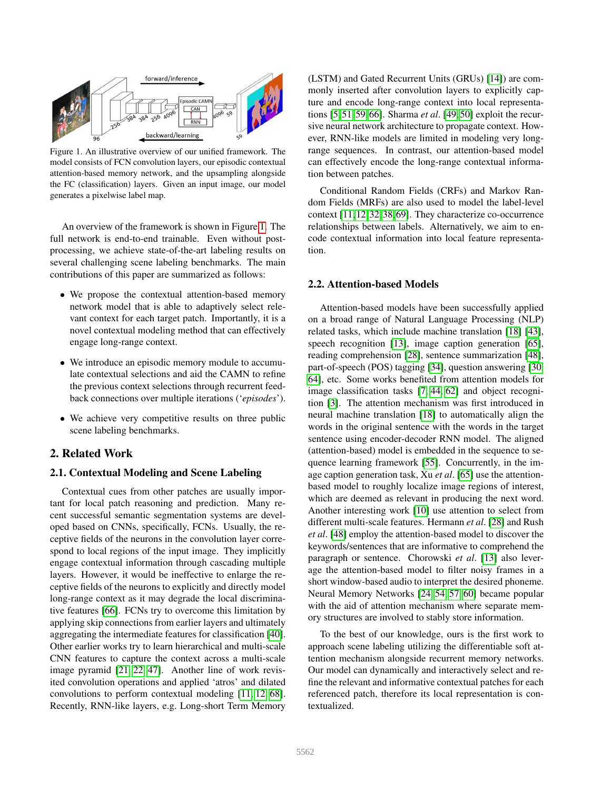

<span id="page-1-0"></span>Figure 1. An illustrative overview of our unified framework. The model consists of FCN convolution layers, our episodic contextual attention-based memory network, and the upsampling alongside the FC (classification) layers. Given an input image, our model generates a pixelwise label map.

An overview of the framework is shown in Figure [1.](#page-1-0) The full network is end-to-end trainable. Even without postprocessing, we achieve state-of-the-art labeling results on several challenging scene labeling benchmarks. The main contributions of this paper are summarized as follows:

- We propose the contextual attention-based memory network model that is able to adaptively select relevant context for each target patch. Importantly, it is a novel contextual modeling method that can effectively engage long-range context.
- We introduce an episodic memory module to accumulate contextual selections and aid the CAMN to refine the previous context selections through recurrent feedback connections over multiple iterations ('*episodes*').
- We achieve very competitive results on three public scene labeling benchmarks.

### 2. Related Work

### 2.1. Contextual Modeling and Scene Labeling

Contextual cues from other patches are usually important for local patch reasoning and prediction. Many recent successful semantic segmentation systems are developed based on CNNs, specifically, FCNs. Usually, the receptive fields of the neurons in the convolution layer correspond to local regions of the input image. They implicitly engage contextual information through cascading multiple layers. However, it would be ineffective to enlarge the receptive fields of the neurons to explicitly and directly model long-range context as it may degrade the local discriminative features [\[66\]](#page-9-2). FCNs try to overcome this limitation by applying skip connections from earlier layers and ultimately aggregating the intermediate features for classification [\[40\]](#page-8-2). Other earlier works try to learn hierarchical and multi-scale CNN features to capture the context across a multi-scale image pyramid [\[21,](#page-8-3) [22,](#page-8-4) [47\]](#page-9-3). Another line of work revisited convolution operations and applied 'atros' and dilated convolutions to perform contextual modeling [\[11,](#page-8-5) [12,](#page-8-6) [68\]](#page-9-4). Recently, RNN-like layers, e.g. Long-short Term Memory (LSTM) and Gated Recurrent Units (GRUs) [\[14\]](#page-8-7)) are commonly inserted after convolution layers to explicitly capture and encode long-range context into local representations [\[5,](#page-8-8) [51,](#page-9-5) [59,](#page-9-6) [66\]](#page-9-2). Sharma *et al*. [\[49,](#page-9-7) [50\]](#page-9-0) exploit the recursive neural network architecture to propagate context. However, RNN-like models are limited in modeling very longrange sequences. In contrast, our attention-based model can effectively encode the long-range contextual information between patches.

Conditional Random Fields (CRFs) and Markov Random Fields (MRFs) are also used to model the label-level context [\[11,](#page-8-5)[12,](#page-8-6)[32,](#page-8-9)[38,](#page-8-10)[69\]](#page-9-8). They characterize co-occurrence relationships between labels. Alternatively, we aim to encode contextual information into local feature representation.

### 2.2. Attention-based Models

Attention-based models have been successfully applied on a broad range of Natural Language Processing (NLP) related tasks, which include machine translation [\[18\]](#page-8-11) [\[43\]](#page-9-9), speech recognition [\[13\]](#page-8-12), image caption generation [\[65\]](#page-9-10), reading comprehension [\[28\]](#page-8-13), sentence summarization [\[48\]](#page-9-11), part-of-speech (POS) tagging [\[34\]](#page-8-14), question answering [\[30,](#page-8-15) [64\]](#page-9-12), etc. Some works benefited from attention models for image classification tasks [\[7,](#page-8-16) [44,](#page-9-13) [62\]](#page-9-14) and object recognition [\[3\]](#page-8-17). The attention mechanism was first introduced in neural machine translation [\[18\]](#page-8-11) to automatically align the words in the original sentence with the words in the target sentence using encoder-decoder RNN model. The aligned (attention-based) model is embedded in the sequence to sequence learning framework [\[55\]](#page-9-15). Concurrently, in the image caption generation task, Xu *et al*. [\[65\]](#page-9-10) use the attentionbased model to roughly localize image regions of interest, which are deemed as relevant in producing the next word. Another interesting work [\[10\]](#page-8-18) use attention to select from different multi-scale features. Hermann *et al*. [\[28\]](#page-8-13) and Rush *et al*. [\[48\]](#page-9-11) employ the attention-based model to discover the keywords/sentences that are informative to comprehend the paragraph or sentence. Chorowski *et al*. [\[13\]](#page-8-12) also leverage the attention-based model to filter noisy frames in a short window-based audio to interpret the desired phoneme. Neural Memory Networks [\[24,](#page-8-19) [54,](#page-9-16) [57,](#page-9-17) [60\]](#page-9-18) became popular with the aid of attention mechanism where separate memory structures are involved to stably store information.

To the best of our knowledge, ours is the first work to approach scene labeling utilizing the differentiable soft attention mechanism alongside recurrent memory networks. Our model can dynamically and interactively select and refine the relevant and informative contextual patches for each referenced patch, therefore its local representation is contextualized.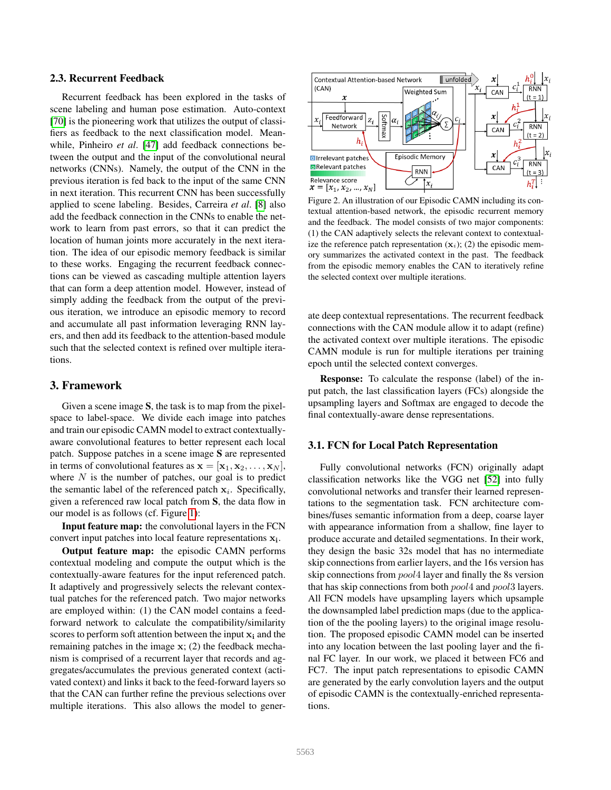### 2.3. Recurrent Feedback

Recurrent feedback has been explored in the tasks of scene labeling and human pose estimation. Auto-context [\[70\]](#page-9-19) is the pioneering work that utilizes the output of classifiers as feedback to the next classification model. Meanwhile, Pinheiro *et al*. [\[47\]](#page-9-3) add feedback connections between the output and the input of the convolutional neural networks (CNNs). Namely, the output of the CNN in the previous iteration is fed back to the input of the same CNN in next iteration. This recurrent CNN has been successfully applied to scene labeling. Besides, Carreira *et al*. [\[8\]](#page-8-20) also add the feedback connection in the CNNs to enable the network to learn from past errors, so that it can predict the location of human joints more accurately in the next iteration. The idea of our episodic memory feedback is similar to these works. Engaging the recurrent feedback connections can be viewed as cascading multiple attention layers that can form a deep attention model. However, instead of simply adding the feedback from the output of the previous iteration, we introduce an episodic memory to record and accumulate all past information leveraging RNN layers, and then add its feedback to the attention-based module such that the selected context is refined over multiple iterations.

### 3. Framework

Given a scene image **S**, the task is to map from the pixelspace to label-space. We divide each image into patches and train our episodic CAMN model to extract contextuallyaware convolutional features to better represent each local patch. Suppose patches in a scene image S are represented in terms of convolutional features as  $\mathbf{x} = [\mathbf{x}_1, \mathbf{x}_2, \dots, \mathbf{x}_N],$ where  $N$  is the number of patches, our goal is to predict the semantic label of the referenced patch  $x_i$ . Specifically, given a referenced raw local patch from S, the data flow in our model is as follows (cf. Figure [1\)](#page-1-0):

Input feature map: the convolutional layers in the FCN convert input patches into local feature representations  $x_i$ .

Output feature map: the episodic CAMN performs contextual modeling and compute the output which is the contextually-aware features for the input referenced patch. It adaptively and progressively selects the relevant contextual patches for the referenced patch. Two major networks are employed within: (1) the CAN model contains a feedforward network to calculate the compatibility/similarity scores to perform soft attention between the input  $x_i$  and the remaining patches in the image x; (2) the feedback mechanism is comprised of a recurrent layer that records and aggregates/accumulates the previous generated context (activated context) and links it back to the feed-forward layers so that the CAN can further refine the previous selections over multiple iterations. This also allows the model to gener-



<span id="page-2-0"></span>Figure 2. An illustration of our Episodic CAMN including its contextual attention-based network, the episodic recurrent memory and the feedback. The model consists of two major components: (1) the CAN adaptively selects the relevant context to contextualize the reference patch representation  $(x_i)$ ; (2) the episodic memory summarizes the activated context in the past. The feedback from the episodic memory enables the CAN to iteratively refine the selected context over multiple iterations.

ate deep contextual representations. The recurrent feedback connections with the CAN module allow it to adapt (refine) the activated context over multiple iterations. The episodic CAMN module is run for multiple iterations per training epoch until the selected context converges.

Response: To calculate the response (label) of the input patch, the last classification layers (FCs) alongside the upsampling layers and Softmax are engaged to decode the final contextually-aware dense representations.

### 3.1. FCN for Local Patch Representation

Fully convolutional networks (FCN) originally adapt classification networks like the VGG net [\[52\]](#page-9-20) into fully convolutional networks and transfer their learned representations to the segmentation task. FCN architecture combines/fuses semantic information from a deep, coarse layer with appearance information from a shallow, fine layer to produce accurate and detailed segmentations. In their work, they design the basic 32s model that has no intermediate skip connections from earlier layers, and the 16s version has skip connections from pool4 layer and finally the 8s version that has skip connections from both pool4 and pool3 layers. All FCN models have upsampling layers which upsample the downsampled label prediction maps (due to the application of the the pooling layers) to the original image resolution. The proposed episodic CAMN model can be inserted into any location between the last pooling layer and the final FC layer. In our work, we placed it between FC6 and FC7. The input patch representations to episodic CAMN are generated by the early convolution layers and the output of episodic CAMN is the contextually-enriched representations.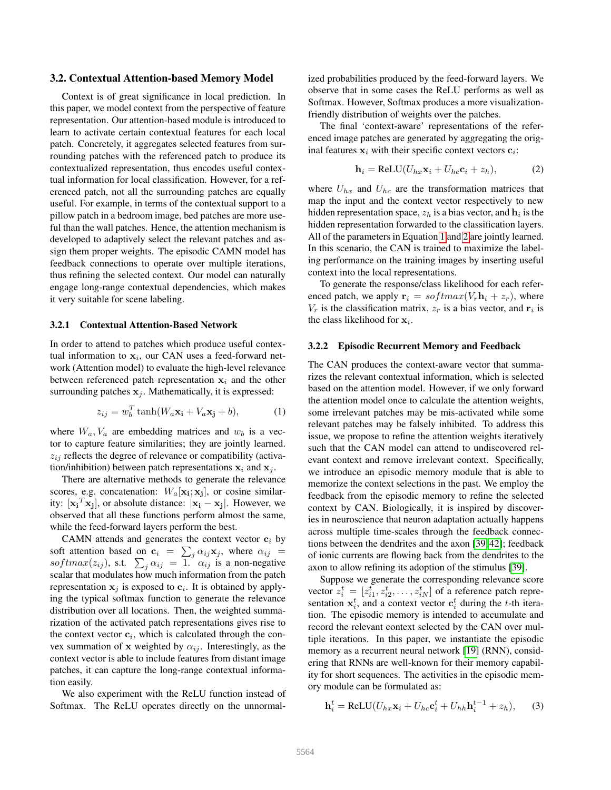#### 3.2. Contextual Attention-based Memory Model

Context is of great significance in local prediction. In this paper, we model context from the perspective of feature representation. Our attention-based module is introduced to learn to activate certain contextual features for each local patch. Concretely, it aggregates selected features from surrounding patches with the referenced patch to produce its contextualized representation, thus encodes useful contextual information for local classification. However, for a referenced patch, not all the surrounding patches are equally useful. For example, in terms of the contextual support to a pillow patch in a bedroom image, bed patches are more useful than the wall patches. Hence, the attention mechanism is developed to adaptively select the relevant patches and assign them proper weights. The episodic CAMN model has feedback connections to operate over multiple iterations, thus refining the selected context. Our model can naturally engage long-range contextual dependencies, which makes it very suitable for scene labeling.

#### 3.2.1 Contextual Attention-Based Network

In order to attend to patches which produce useful contextual information to  $x_i$ , our CAN uses a feed-forward network (Attention model) to evaluate the high-level relevance between referenced patch representation  $x_i$  and the other surrounding patches  $x_i$ . Mathematically, it is expressed:

<span id="page-3-0"></span>
$$
z_{ij} = w_b^T \tanh(W_a \mathbf{x_i} + V_a \mathbf{x_j} + b), \tag{1}
$$

where  $W_a, V_a$  are embedding matrices and  $w_b$  is a vector to capture feature similarities; they are jointly learned.  $z_{ij}$  reflects the degree of relevance or compatibility (activation/inhibition) between patch representations  $x_i$  and  $x_j$ .

There are alternative methods to generate the relevance scores, e.g. concatenation:  $W_a[\mathbf{x_i}; \mathbf{x_j}]$ , or cosine similarity:  $[x_i^T x_j]$ , or absolute distance:  $|x_i - x_j|$ . However, we observed that all these functions perform almost the same, while the feed-forward layers perform the best.

CAMN attends and generates the context vector  $c_i$  by soft attention based on  $\mathbf{c}_i = \sum_j \alpha_{ij} \mathbf{x}_j$ , where  $\alpha_{ij} =$ softmax $(z_{ij})$ , s.t.  $\sum_j \alpha_{ij} = 1$ .  $\alpha_{ij}$  is a non-negative scalar that modulates how much information from the patch representation  $x_j$  is exposed to  $c_i$ . It is obtained by applying the typical softmax function to generate the relevance distribution over all locations. Then, the weighted summarization of the activated patch representations gives rise to the context vector  $c_i$ , which is calculated through the convex summation of x weighted by  $\alpha_{ij}$ . Interestingly, as the context vector is able to include features from distant image patches, it can capture the long-range contextual information easily.

We also experiment with the ReLU function instead of Softmax. The ReLU operates directly on the unnormalized probabilities produced by the feed-forward layers. We observe that in some cases the ReLU performs as well as Softmax. However, Softmax produces a more visualizationfriendly distribution of weights over the patches.

The final 'context-aware' representations of the referenced image patches are generated by aggregating the original features  $x_i$  with their specific context vectors  $c_i$ :

<span id="page-3-1"></span>
$$
\mathbf{h}_i = \text{ReLU}(U_{hx}\mathbf{x}_i + U_{hc}\mathbf{c}_i + z_h),\tag{2}
$$

where  $U_{hx}$  and  $U_{hc}$  are the transformation matrices that map the input and the context vector respectively to new hidden representation space,  $z_h$  is a bias vector, and  $\mathbf{h}_i$  is the hidden representation forwarded to the classification layers. All of the parameters in Equation [1](#page-3-0) and [2](#page-3-1) are jointly learned. In this scenario, the CAN is trained to maximize the labeling performance on the training images by inserting useful context into the local representations.

To generate the response/class likelihood for each referenced patch, we apply  $\mathbf{r}_i = softmax(V_r \mathbf{h}_i + z_r)$ , where  $V_r$  is the classification matrix,  $z_r$  is a bias vector, and  $r_i$  is the class likelihood for  $x_i$ .

#### 3.2.2 Episodic Recurrent Memory and Feedback

The CAN produces the context-aware vector that summarizes the relevant contextual information, which is selected based on the attention model. However, if we only forward the attention model once to calculate the attention weights, some irrelevant patches may be mis-activated while some relevant patches may be falsely inhibited. To address this issue, we propose to refine the attention weights iteratively such that the CAN model can attend to undiscovered relevant context and remove irrelevant context. Specifically, we introduce an episodic memory module that is able to memorize the context selections in the past. We employ the feedback from the episodic memory to refine the selected context by CAN. Biologically, it is inspired by discoveries in neuroscience that neuron adaptation actually happens across multiple time-scales through the feedback connections between the dendrites and the axon [\[39,](#page-8-21) [42\]](#page-9-21); feedback of ionic currents are flowing back from the dendrites to the axon to allow refining its adoption of the stimulus [\[39\]](#page-8-21).

Suppose we generate the corresponding relevance score vector  $z_i^t = [z_{i1}^t, z_{i2}^t, \dots, z_{iN}^t]$  of a reference patch representation  $x_i^t$ , and a context vector  $c_i^t$  during the t-th iteration. The episodic memory is intended to accumulate and record the relevant context selected by the CAN over multiple iterations. In this paper, we instantiate the episodic memory as a recurrent neural network [\[19\]](#page-8-1) (RNN), considering that RNNs are well-known for their memory capability for short sequences. The activities in the episodic memory module can be formulated as:

$$
\mathbf{h}_i^t = \text{ReLU}(U_{hx}\mathbf{x}_i + U_{hc}\mathbf{c}_i^t + U_{hh}\mathbf{h}_i^{t-1} + z_h),
$$
 (3)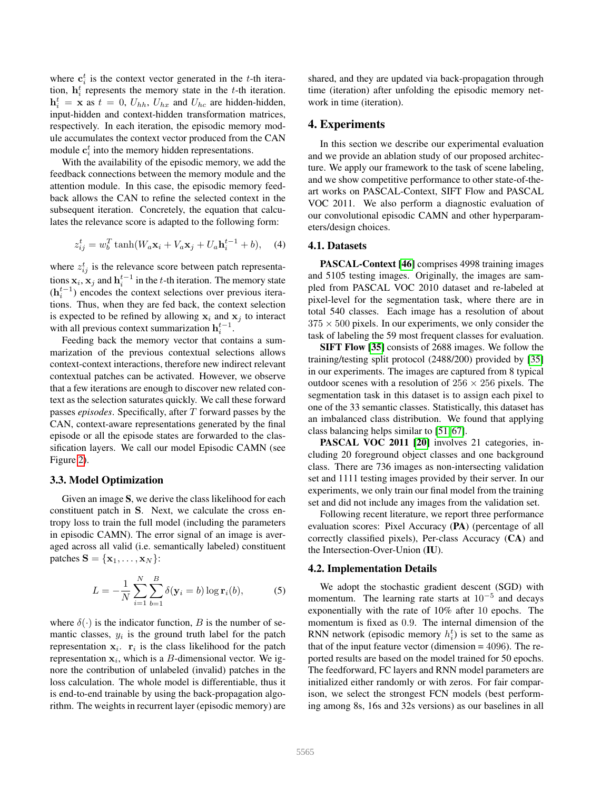where  $c_i^t$  is the context vector generated in the t-th iteration,  $\mathbf{h}_i^t$  represents the memory state in the t-th iteration.  $h_i^t = \mathbf{x}$  as  $t = 0$ ,  $U_{hh}$ ,  $U_{hx}$  and  $U_{hc}$  are hidden-hidden, input-hidden and context-hidden transformation matrices, respectively. In each iteration, the episodic memory module accumulates the context vector produced from the CAN module  $\mathbf{c}_i^t$  into the memory hidden representations.

With the availability of the episodic memory, we add the feedback connections between the memory module and the attention module. In this case, the episodic memory feedback allows the CAN to refine the selected context in the subsequent iteration. Concretely, the equation that calculates the relevance score is adapted to the following form:

$$
z_{ij}^t = w_b^T \tanh(W_a \mathbf{x}_i + V_a \mathbf{x}_j + U_a \mathbf{h}_i^{t-1} + b), \quad (4)
$$

where  $z_{ij}^t$  is the relevance score between patch representations  $\mathbf{x}_i$ ,  $\mathbf{x}_j$  and  $\mathbf{h}_i^{t-1}$  in the t-th iteration. The memory state  $(h_i^{t-1})$  encodes the context selections over previous iterations. Thus, when they are fed back, the context selection is expected to be refined by allowing  $x_i$  and  $x_j$  to interact with all previous context summarization  $h_i^{t-1}$ .

Feeding back the memory vector that contains a summarization of the previous contextual selections allows context-context interactions, therefore new indirect relevant contextual patches can be activated. However, we observe that a few iterations are enough to discover new related context as the selection saturates quickly. We call these forward passes *episodes*. Specifically, after T forward passes by the CAN, context-aware representations generated by the final episode or all the episode states are forwarded to the classification layers. We call our model Episodic CAMN (see Figure [2\)](#page-2-0).

### 3.3. Model Optimization

Given an image S, we derive the class likelihood for each constituent patch in S. Next, we calculate the cross entropy loss to train the full model (including the parameters in episodic CAMN). The error signal of an image is averaged across all valid (i.e. semantically labeled) constituent patches  $S = {\mathbf{x}_1, \dots, \mathbf{x}_N}$ :

$$
L = -\frac{1}{N} \sum_{i=1}^{N} \sum_{b=1}^{B} \delta(\mathbf{y}_i = b) \log \mathbf{r}_i(b),
$$
 (5)

where  $\delta(\cdot)$  is the indicator function, B is the number of semantic classes,  $y_i$  is the ground truth label for the patch representation  $x_i$ .  $r_i$  is the class likelihood for the patch representation  $x_i$ , which is a B-dimensional vector. We ignore the contribution of unlabeled (invalid) patches in the loss calculation. The whole model is differentiable, thus it is end-to-end trainable by using the back-propagation algorithm. The weights in recurrent layer (episodic memory) are

shared, and they are updated via back-propagation through time (iteration) after unfolding the episodic memory network in time (iteration).

### 4. Experiments

In this section we describe our experimental evaluation and we provide an ablation study of our proposed architecture. We apply our framework to the task of scene labeling, and we show competitive performance to other state-of-theart works on PASCAL-Context, SIFT Flow and PASCAL VOC 2011. We also perform a diagnostic evaluation of our convolutional episodic CAMN and other hyperparameters/design choices.

### 4.1. Datasets

PASCAL-Context [\[46\]](#page-9-22) comprises 4998 training images and 5105 testing images. Originally, the images are sampled from PASCAL VOC 2010 dataset and re-labeled at pixel-level for the segmentation task, where there are in total 540 classes. Each image has a resolution of about  $375 \times 500$  pixels. In our experiments, we only consider the task of labeling the 59 most frequent classes for evaluation.

SIFT Flow [\[35\]](#page-8-22) consists of 2688 images. We follow the training/testing split protocol (2488/200) provided by [\[35\]](#page-8-22) in our experiments. The images are captured from 8 typical outdoor scenes with a resolution of  $256 \times 256$  pixels. The segmentation task in this dataset is to assign each pixel to one of the 33 semantic classes. Statistically, this dataset has an imbalanced class distribution. We found that applying class balancing helps similar to [\[51,](#page-9-5) [67\]](#page-9-23).

PASCAL VOC 2011 [\[20\]](#page-8-23) involves 21 categories, including 20 foreground object classes and one background class. There are 736 images as non-intersecting validation set and 1111 testing images provided by their server. In our experiments, we only train our final model from the training set and did not include any images from the validation set.

Following recent literature, we report three performance evaluation scores: Pixel Accuracy (PA) (percentage of all correctly classified pixels), Per-class Accuracy (CA) and the Intersection-Over-Union (IU).

#### 4.2. Implementation Details

We adopt the stochastic gradient descent (SGD) with momentum. The learning rate starts at  $10^{-5}$  and decays exponentially with the rate of 10% after 10 epochs. The momentum is fixed as 0.9. The internal dimension of the RNN network (episodic memory  $h_i^t$ ) is set to the same as that of the input feature vector (dimension  $= 4096$ ). The reported results are based on the model trained for 50 epochs. The feedforward, FC layers and RNN model parameters are initialized either randomly or with zeros. For fair comparison, we select the strongest FCN models (best performing among 8s, 16s and 32s versions) as our baselines in all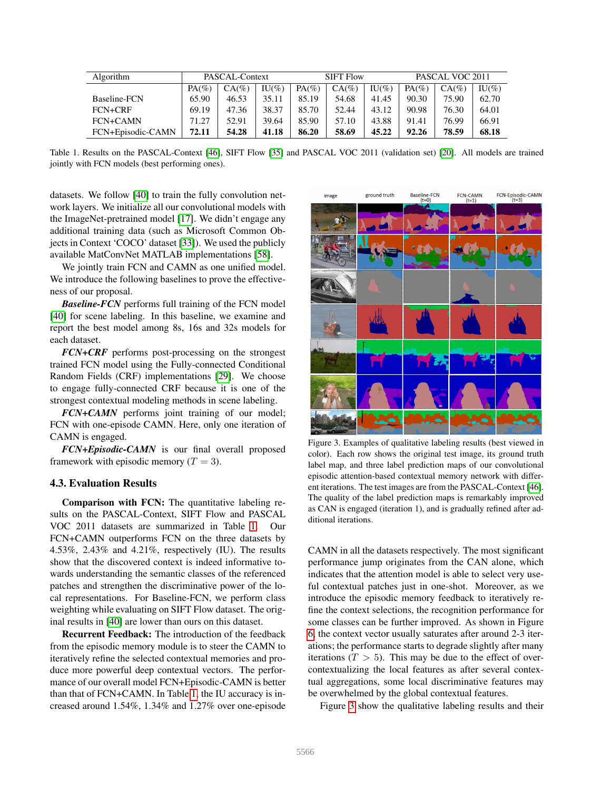| Algorithm         | PASCAL-Context |          | <b>SIFT Flow</b> |          |          | PASCAL VOC 2011 |          |          |          |
|-------------------|----------------|----------|------------------|----------|----------|-----------------|----------|----------|----------|
|                   | $PA(\%)$       | $CA(\%)$ | $IU(\%)$         | $PA(\%)$ | $CA(\%)$ | $IU(\%)$        | $PA(\%)$ | $CA(\%)$ | $IU(\%)$ |
| Baseline-FCN      | 65.90          | 46.53    | 35.11            | 85.19    | 54.68    | 41.45           | 90.30    | 75.90    | 62.70    |
| FCN+CRF           | 69.19          | 47.36    | 38.37            | 85.70    | 52.44    | 43.12           | 90.98    | 76.30    | 64.01    |
| FCN+CAMN          | 71.27          | 52.91    | 39.64            | 85.90    | 57.10    | 43.88           | 91.41    | 76.99    | 66.91    |
| FCN+Episodic-CAMN | 72.11          | 54.28    | 41.18            | 86.20    | 58.69    | 45.22           | 92.26    | 78.59    | 68.18    |

<span id="page-5-0"></span>Table 1. Results on the PASCAL-Context [\[46\]](#page-9-22), SIFT Flow [\[35\]](#page-8-22) and PASCAL VOC 2011 (validation set) [\[20\]](#page-8-23). All models are trained jointly with FCN models (best performing ones).

datasets. We follow [\[40\]](#page-8-2) to train the fully convolution network layers. We initialize all our convolutional models with the ImageNet-pretrained model [\[17\]](#page-8-24). We didn't engage any additional training data (such as Microsoft Common Objects in Context 'COCO' dataset [\[33\]](#page-8-25)). We used the publicly available MatConvNet MATLAB implementations [\[58\]](#page-9-24).

We jointly train FCN and CAMN as one unified model. We introduce the following baselines to prove the effectiveness of our proposal.

*Baseline-FCN* performs full training of the FCN model [\[40\]](#page-8-2) for scene labeling. In this baseline, we examine and report the best model among 8s, 16s and 32s models for each dataset.

*FCN+CRF* performs post-processing on the strongest trained FCN model using the Fully-connected Conditional Random Fields (CRF) implementations [\[29\]](#page-8-26). We choose to engage fully-connected CRF because it is one of the strongest contextual modeling methods in scene labeling.

*FCN+CAMN* performs joint training of our model; FCN with one-episode CAMN. Here, only one iteration of CAMN is engaged.

*FCN+Episodic-CAMN* is our final overall proposed framework with episodic memory  $(T = 3)$ .

### 4.3. Evaluation Results

Comparison with FCN: The quantitative labeling results on the PASCAL-Context, SIFT Flow and PASCAL VOC 2011 datasets are summarized in Table [1.](#page-5-0) Our FCN+CAMN outperforms FCN on the three datasets by 4.53%, 2.43% and 4.21%, respectively (IU). The results show that the discovered context is indeed informative towards understanding the semantic classes of the referenced patches and strengthen the discriminative power of the local representations. For Baseline-FCN, we perform class weighting while evaluating on SIFT Flow dataset. The original results in [\[40\]](#page-8-2) are lower than ours on this dataset.

Recurrent Feedback: The introduction of the feedback from the episodic memory module is to steer the CAMN to iteratively refine the selected contextual memories and produce more powerful deep contextual vectors. The performance of our overall model FCN+Episodic-CAMN is better than that of FCN+CAMN. In Table [1,](#page-5-0) the IU accuracy is increased around 1.54%, 1.34% and 1.27% over one-episode



<span id="page-5-1"></span>Figure 3. Examples of qualitative labeling results (best viewed in color). Each row shows the original test image, its ground truth label map, and three label prediction maps of our convolutional episodic attention-based contextual memory network with different iterations. The test images are from the PASCAL-Context [\[46\]](#page-9-22). The quality of the label prediction maps is remarkably improved as CAN is engaged (iteration 1), and is gradually refined after additional iterations.

CAMN in all the datasets respectively. The most significant performance jump originates from the CAN alone, which indicates that the attention model is able to select very useful contextual patches just in one-shot. Moreover, as we introduce the episodic memory feedback to iteratively refine the context selections, the recognition performance for some classes can be further improved. As shown in Figure [6,](#page-7-0) the context vector usually saturates after around 2-3 iterations; the performance starts to degrade slightly after many iterations  $(T > 5)$ . This may be due to the effect of overcontextualizing the local features as after several contextual aggregations, some local discriminative features may be overwhelmed by the global contextual features.

Figure [3](#page-5-1) show the qualitative labeling results and their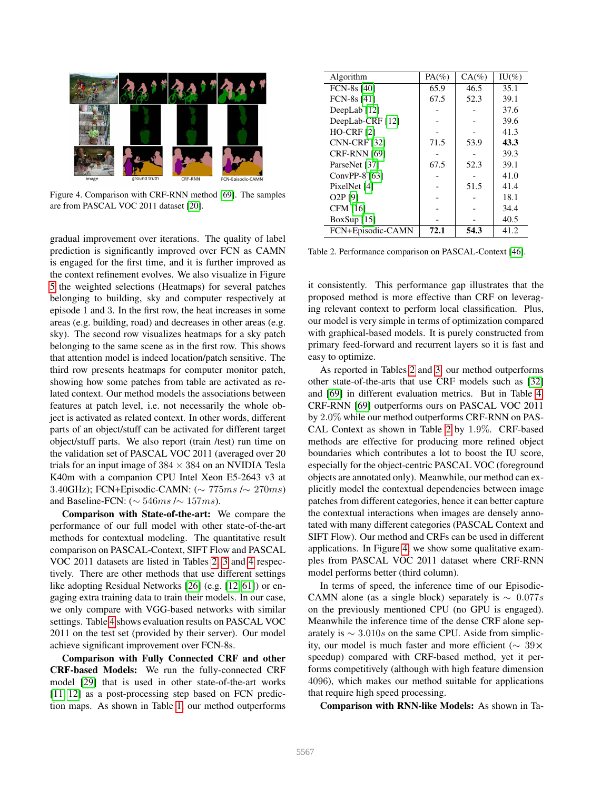

Figure 4. Comparison with CRF-RNN method [\[69\]](#page-9-8). The samples are from PASCAL VOC 2011 dataset [\[20\]](#page-8-23).

<span id="page-6-1"></span>gradual improvement over iterations. The quality of label prediction is significantly improved over FCN as CAMN is engaged for the first time, and it is further improved as the context refinement evolves. We also visualize in Figure [5](#page-7-1) the weighted selections (Heatmaps) for several patches belonging to building, sky and computer respectively at episode 1 and 3. In the first row, the heat increases in some areas (e.g. building, road) and decreases in other areas (e.g. sky). The second row visualizes heatmaps for a sky patch belonging to the same scene as in the first row. This shows that attention model is indeed location/patch sensitive. The third row presents heatmaps for computer monitor patch, showing how some patches from table are activated as related context. Our method models the associations between features at patch level, i.e. not necessarily the whole object is activated as related context. In other words, different parts of an object/stuff can be activated for different target object/stuff parts. We also report (train /test) run time on the validation set of PASCAL VOC 2011 (averaged over 20 trials for an input image of  $384 \times 384$  on an NVIDIA Tesla K40m with a companion CPU Intel Xeon E5-2643 v3 at 3.40GHz); FCN+Episodic-CAMN: (∼ 775ms /∼ 270ms) and Baseline-FCN: ( $\sim$  546 $ms / \sim 157ms$ ).

Comparison with State-of-the-art: We compare the performance of our full model with other state-of-the-art methods for contextual modeling. The quantitative result comparison on PASCAL-Context, SIFT Flow and PASCAL VOC 2011 datasets are listed in Tables [2,](#page-6-0) [3](#page-7-2) and [4](#page-7-3) respectively. There are other methods that use different settings like adopting Residual Networks [\[26\]](#page-8-27) (e.g. [\[12,](#page-8-6) [61\]](#page-9-25)) or engaging extra training data to train their models. In our case, we only compare with VGG-based networks with similar settings. Table [4](#page-7-3) shows evaluation results on PASCAL VOC 2011 on the test set (provided by their server). Our model achieve significant improvement over FCN-8s.

Comparison with Fully Connected CRF and other CRF-based Models: We run the fully-connected CRF model [\[29\]](#page-8-26) that is used in other state-of-the-art works [\[11,](#page-8-5) [12\]](#page-8-6) as a post-processing step based on FCN prediction maps. As shown in Table [1,](#page-5-0) our method outperforms

| Algorithm                       | $PA(\%)$ | $CA(\%)$ | $IU(\%)$ |
|---------------------------------|----------|----------|----------|
| <b>FCN-8s</b> [40]              | 65.9     | 46.5     | 35.1     |
| <b>FCN-8s</b> [41]              | 67.5     | 52.3     | 39.1     |
| DeepLab [12]                    |          |          | 37.6     |
| DeepLab-CRF [12]                |          |          | 39.6     |
| $HO-CRF[2]$                     |          |          | 41.3     |
| <b>CNN-CRF [32]</b>             | 71.5     | 53.9     | 43.3     |
| <b>CRF-RNN [69]</b>             |          |          | 39.3     |
| ParseNet [37]                   | 67.5     | 52.3     | 39.1     |
| ConvPP-8 $[63]$                 |          |          | 41.0     |
| PixelNet [4]                    |          | 51.5     | 41.4     |
| O <sub>2</sub> P <sub>[9]</sub> |          |          | 18.1     |
| <b>CFM</b> [16]                 |          |          | 34.4     |
| BoxSup $[15]$                   |          |          | 40.5     |
| FCN+Episodic-CAMN               | 72.1     | 54.3     | 41.2     |

<span id="page-6-0"></span>Table 2. Performance comparison on PASCAL-Context [\[46\]](#page-9-22).

it consistently. This performance gap illustrates that the proposed method is more effective than CRF on leveraging relevant context to perform local classification. Plus, our model is very simple in terms of optimization compared with graphical-based models. It is purely constructed from primary feed-forward and recurrent layers so it is fast and easy to optimize.

As reported in Tables [2](#page-6-0) and [3,](#page-7-2) our method outperforms other state-of-the-arts that use CRF models such as [\[32\]](#page-8-9) and [\[69\]](#page-9-8) in different evaluation metrics. But in Table [4,](#page-7-3) CRF-RNN [\[69\]](#page-9-8) outperforms ours on PASCAL VOC 2011 by 2.0% while our method outperforms CRF-RNN on PAS-CAL Context as shown in Table [2](#page-6-0) by 1.9%. CRF-based methods are effective for producing more refined object boundaries which contributes a lot to boost the IU score, especially for the object-centric PASCAL VOC (foreground objects are annotated only). Meanwhile, our method can explicitly model the contextual dependencies between image patches from different categories, hence it can better capture the contextual interactions when images are densely annotated with many different categories (PASCAL Context and SIFT Flow). Our method and CRFs can be used in different applications. In Figure [4,](#page-6-1) we show some qualitative examples from PASCAL VOC 2011 dataset where CRF-RNN model performs better (third column).

In terms of speed, the inference time of our Episodic-CAMN alone (as a single block) separately is  $\sim 0.077s$ on the previously mentioned CPU (no GPU is engaged). Meanwhile the inference time of the dense CRF alone separately is  $\sim 3.010s$  on the same CPU. Aside from simplicity, our model is much faster and more efficient ( $\sim 39 \times$ speedup) compared with CRF-based method, yet it performs competitively (although with high feature dimension 4096), which makes our method suitable for applications that require high speed processing.

Comparison with RNN-like Models: As shown in Ta-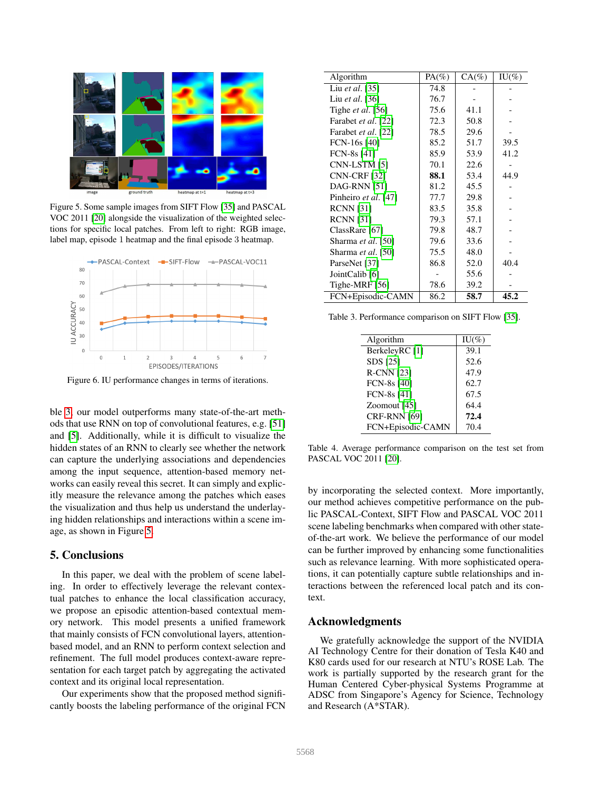

<span id="page-7-1"></span>Figure 5. Some sample images from SIFT Flow [\[35\]](#page-8-22) and PASCAL VOC 2011 [\[20\]](#page-8-23) alongside the visualization of the weighted selections for specific local patches. From left to right: RGB image, label map, episode 1 heatmap and the final episode 3 heatmap.



<span id="page-7-0"></span>Figure 6. IU performance changes in terms of iterations.

ble [3,](#page-7-2) our model outperforms many state-of-the-art methods that use RNN on top of convolutional features, e.g. [\[51\]](#page-9-5) and [\[5\]](#page-8-8). Additionally, while it is difficult to visualize the hidden states of an RNN to clearly see whether the network can capture the underlying associations and dependencies among the input sequence, attention-based memory networks can easily reveal this secret. It can simply and explicitly measure the relevance among the patches which eases the visualization and thus help us understand the underlaying hidden relationships and interactions within a scene image, as shown in Figure [5.](#page-7-1)

### 5. Conclusions

In this paper, we deal with the problem of scene labeling. In order to effectively leverage the relevant contextual patches to enhance the local classification accuracy, we propose an episodic attention-based contextual memory network. This model presents a unified framework that mainly consists of FCN convolutional layers, attentionbased model, and an RNN to perform context selection and refinement. The full model produces context-aware representation for each target patch by aggregating the activated context and its original local representation.

Our experiments show that the proposed method significantly boosts the labeling performance of the original FCN

| Algorithm                | $PA(\%)$ | $CA(\%)$ | $IU(\%)$ |
|--------------------------|----------|----------|----------|
| Liu et al. [35]          | 74.8     |          |          |
| Liu et al. [36]          | 76.7     |          |          |
| Tighe <i>et al.</i> [56] | 75.6     | 41.1     |          |
| Farabet et al. [22]      | 72.3     | 50.8     |          |
| Farabet et al. [22]      | 78.5     | 29.6     |          |
| FCN-16s [40]             | 85.2     | 51.7     | 39.5     |
| FCN-8s [41]              | 85.9     | 53.9     | 41.2     |
| CNN-LSTM [5]             | 70.1     | 22.6     |          |
| <b>CNN-CRF [32]</b>      | 88.1     | 53.4     | 44.9     |
| DAG-RNN [51]             | 81.2     | 45.5     |          |
| Pinheiro et al. [47]     | 77.7     | 29.8     |          |
| <b>RCNN</b> [31]         | 83.5     | 35.8     |          |
| <b>RCNN</b> [31]         | 79.3     | 57.1     |          |
| ClassRare [67]           | 79.8     | 48.7     |          |
| Sharma et al. [50]       | 79.6     | 33.6     |          |
| Sharma et al. [50]       | 75.5     | 48.0     |          |
| ParseNet [37]            | 86.8     | 52.0     | 40.4     |
| JointCalib [6]           |          | 55.6     |          |
| Tighe-MRF [56]           | 78.6     | 39.2     |          |
| FCN+Episodic-CAMN        | 86.2     | 58.7     | 45.2     |

Table 3. Performance comparison on SIFT Flow [\[35\]](#page-8-22).

<span id="page-7-2"></span>

| Algorithm           | $IU(\%)$ |
|---------------------|----------|
| BerkeleyRC [1]      | 39.1     |
| SDS [25]            | 52.6     |
| <b>R-CNN [23]</b>   | 47.9     |
| FCN-8s [40]         | 62.7     |
| FCN-8s [41]         | 67.5     |
| Zoomout [45]        | 64.4     |
| <b>CRF-RNN [69]</b> | 72.4     |
| FCN+Episodic-CAMN   | 70.4     |

<span id="page-7-3"></span>Table 4. Average performance comparison on the test set from PASCAL VOC 2011 [\[20\]](#page-8-23).

by incorporating the selected context. More importantly, our method achieves competitive performance on the public PASCAL-Context, SIFT Flow and PASCAL VOC 2011 scene labeling benchmarks when compared with other stateof-the-art work. We believe the performance of our model can be further improved by enhancing some functionalities such as relevance learning. With more sophisticated operations, it can potentially capture subtle relationships and interactions between the referenced local patch and its context.

### Acknowledgments

We gratefully acknowledge the support of the NVIDIA AI Technology Centre for their donation of Tesla K40 and K80 cards used for our research at NTU's ROSE Lab. The work is partially supported by the research grant for the Human Centered Cyber-physical Systems Programme at ADSC from Singapore's Agency for Science, Technology and Research (A\*STAR).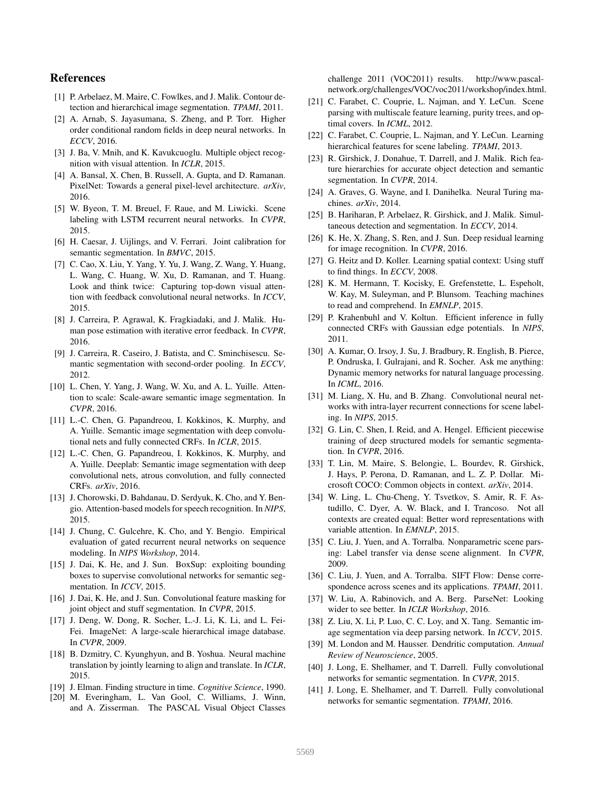### References

- <span id="page-8-38"></span>[1] P. Arbelaez, M. Maire, C. Fowlkes, and J. Malik. Contour detection and hierarchical image segmentation. *TPAMI*, 2011.
- <span id="page-8-29"></span>[2] A. Arnab, S. Jayasumana, S. Zheng, and P. Torr. Higher order conditional random fields in deep neural networks. In *ECCV*, 2016.
- <span id="page-8-17"></span>[3] J. Ba, V. Mnih, and K. Kavukcuoglu. Multiple object recognition with visual attention. In *ICLR*, 2015.
- <span id="page-8-31"></span>[4] A. Bansal, X. Chen, B. Russell, A. Gupta, and D. Ramanan. PixelNet: Towards a general pixel-level architecture. *arXiv*, 2016.
- <span id="page-8-8"></span>[5] W. Byeon, T. M. Breuel, F. Raue, and M. Liwicki. Scene labeling with LSTM recurrent neural networks. In *CVPR*, 2015.
- <span id="page-8-37"></span>[6] H. Caesar, J. Uijlings, and V. Ferrari. Joint calibration for semantic segmentation. In *BMVC*, 2015.
- <span id="page-8-16"></span>[7] C. Cao, X. Liu, Y. Yang, Y. Yu, J. Wang, Z. Wang, Y. Huang, L. Wang, C. Huang, W. Xu, D. Ramanan, and T. Huang. Look and think twice: Capturing top-down visual attention with feedback convolutional neural networks. In *ICCV*, 2015.
- <span id="page-8-20"></span>[8] J. Carreira, P. Agrawal, K. Fragkiadaki, and J. Malik. Human pose estimation with iterative error feedback. In *CVPR*, 2016.
- <span id="page-8-32"></span>[9] J. Carreira, R. Caseiro, J. Batista, and C. Sminchisescu. Semantic segmentation with second-order pooling. In *ECCV*, 2012.
- <span id="page-8-18"></span>[10] L. Chen, Y. Yang, J. Wang, W. Xu, and A. L. Yuille. Attention to scale: Scale-aware semantic image segmentation. In *CVPR*, 2016.
- <span id="page-8-5"></span>[11] L.-C. Chen, G. Papandreou, I. Kokkinos, K. Murphy, and A. Yuille. Semantic image segmentation with deep convolutional nets and fully connected CRFs. In *ICLR*, 2015.
- <span id="page-8-6"></span>[12] L.-C. Chen, G. Papandreou, I. Kokkinos, K. Murphy, and A. Yuille. Deeplab: Semantic image segmentation with deep convolutional nets, atrous convolution, and fully connected CRFs. *arXiv*, 2016.
- <span id="page-8-12"></span>[13] J. Chorowski, D. Bahdanau, D. Serdyuk, K. Cho, and Y. Bengio. Attention-based models for speech recognition. In *NIPS*, 2015.
- <span id="page-8-7"></span>[14] J. Chung, C. Gulcehre, K. Cho, and Y. Bengio. Empirical evaluation of gated recurrent neural networks on sequence modeling. In *NIPS Workshop*, 2014.
- <span id="page-8-34"></span>[15] J. Dai, K. He, and J. Sun. BoxSup: exploiting bounding boxes to supervise convolutional networks for semantic segmentation. In *ICCV*, 2015.
- <span id="page-8-33"></span>[16] J. Dai, K. He, and J. Sun. Convolutional feature masking for joint object and stuff segmentation. In *CVPR*, 2015.
- <span id="page-8-24"></span>[17] J. Deng, W. Dong, R. Socher, L.-J. Li, K. Li, and L. Fei-Fei. ImageNet: A large-scale hierarchical image database. In *CVPR*, 2009.
- <span id="page-8-11"></span>[18] B. Dzmitry, C. Kyunghyun, and B. Yoshua. Neural machine translation by jointly learning to align and translate. In *ICLR*, 2015.
- <span id="page-8-1"></span>[19] J. Elman. Finding structure in time. *Cognitive Science*, 1990.
- <span id="page-8-23"></span>[20] M. Everingham, L. Van Gool, C. Williams, J. Winn, and A. Zisserman. The PASCAL Visual Object Classes

challenge 2011 (VOC2011) results. http://www.pascalnetwork.org/challenges/VOC/voc2011/workshop/index.html.

- <span id="page-8-3"></span>[21] C. Farabet, C. Couprie, L. Najman, and Y. LeCun. Scene parsing with multiscale feature learning, purity trees, and optimal covers. In *ICML*, 2012.
- <span id="page-8-4"></span>[22] C. Farabet, C. Couprie, L. Najman, and Y. LeCun. Learning hierarchical features for scene labeling. *TPAMI*, 2013.
- <span id="page-8-40"></span>[23] R. Girshick, J. Donahue, T. Darrell, and J. Malik. Rich feature hierarchies for accurate object detection and semantic segmentation. In *CVPR*, 2014.
- <span id="page-8-19"></span>[24] A. Graves, G. Wayne, and I. Danihelka. Neural Turing machines. *arXiv*, 2014.
- <span id="page-8-39"></span>[25] B. Hariharan, P. Arbelaez, R. Girshick, and J. Malik. Simultaneous detection and segmentation. In *ECCV*, 2014.
- <span id="page-8-27"></span>[26] K. He, X. Zhang, S. Ren, and J. Sun. Deep residual learning for image recognition. In *CVPR*, 2016.
- <span id="page-8-0"></span>[27] G. Heitz and D. Koller. Learning spatial context: Using stuff to find things. In *ECCV*, 2008.
- <span id="page-8-13"></span>[28] K. M. Hermann, T. Kocisky, E. Grefenstette, L. Espeholt, W. Kay, M. Suleyman, and P. Blunsom. Teaching machines to read and comprehend. In *EMNLP*, 2015.
- <span id="page-8-26"></span>[29] P. Krahenbuhl and V. Koltun. Efficient inference in fully connected CRFs with Gaussian edge potentials. In *NIPS*, 2011.
- <span id="page-8-15"></span>[30] A. Kumar, O. Irsoy, J. Su, J. Bradbury, R. English, B. Pierce, P. Ondruska, I. Gulrajani, and R. Socher. Ask me anything: Dynamic memory networks for natural language processing. In *ICML*, 2016.
- <span id="page-8-36"></span>[31] M. Liang, X. Hu, and B. Zhang. Convolutional neural networks with intra-layer recurrent connections for scene labeling. In *NIPS*, 2015.
- <span id="page-8-9"></span>[32] G. Lin, C. Shen, I. Reid, and A. Hengel. Efficient piecewise training of deep structured models for semantic segmentation. In *CVPR*, 2016.
- <span id="page-8-25"></span>[33] T. Lin, M. Maire, S. Belongie, L. Bourdev, R. Girshick, J. Hays, P. Perona, D. Ramanan, and L. Z. P. Dollar. Microsoft COCO: Common objects in context. *arXiv*, 2014.
- <span id="page-8-14"></span>[34] W. Ling, L. Chu-Cheng, Y. Tsvetkov, S. Amir, R. F. Astudillo, C. Dyer, A. W. Black, and I. Trancoso. Not all contexts are created equal: Better word representations with variable attention. In *EMNLP*, 2015.
- <span id="page-8-22"></span>[35] C. Liu, J. Yuen, and A. Torralba. Nonparametric scene parsing: Label transfer via dense scene alignment. In *CVPR*, 2009.
- <span id="page-8-35"></span>[36] C. Liu, J. Yuen, and A. Torralba. SIFT Flow: Dense correspondence across scenes and its applications. *TPAMI*, 2011.
- <span id="page-8-30"></span>[37] W. Liu, A. Rabinovich, and A. Berg. ParseNet: Looking wider to see better. In *ICLR Workshop*, 2016.
- <span id="page-8-10"></span>[38] Z. Liu, X. Li, P. Luo, C. C. Loy, and X. Tang. Semantic image segmentation via deep parsing network. In *ICCV*, 2015.
- <span id="page-8-21"></span>[39] M. London and M. Hausser. Dendritic computation. *Annual Review of Neuroscience*, 2005.
- <span id="page-8-2"></span>[40] J. Long, E. Shelhamer, and T. Darrell. Fully convolutional networks for semantic segmentation. In *CVPR*, 2015.
- <span id="page-8-28"></span>[41] J. Long, E. Shelhamer, and T. Darrell. Fully convolutional networks for semantic segmentation. *TPAMI*, 2016.